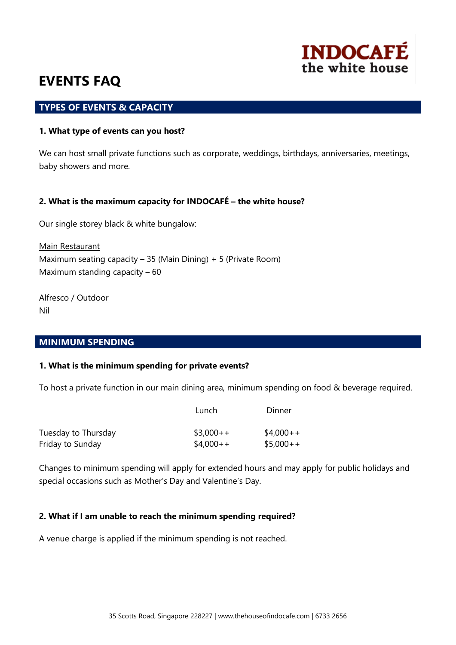

### **TYPES OF EVENTS & CAPACITY**

#### **1. What type of events can you host?**

We can host small private functions such as corporate, weddings, birthdays, anniversaries, meetings, baby showers and more.

#### **2. What is the maximum capacity for INDOCAFÉ – the white house?**

Our single storey black & white bungalow:

Main Restaurant Maximum seating capacity  $-35$  (Main Dining) + 5 (Private Room) Maximum standing capacity – 60

Alfresco / Outdoor Nil

#### **MINIMUM SPENDING**

#### **1. What is the minimum spending for private events?**

To host a private function in our main dining area, minimum spending on food & beverage required.

|                     | Lunch      | Dinner     |
|---------------------|------------|------------|
| Tuesday to Thursday | $$3,000++$ | $$4,000++$ |
| Friday to Sunday    | $$4,000++$ | $$5,000++$ |

Changes to minimum spending will apply for extended hours and may apply for public holidays and special occasions such as Mother's Day and Valentine's Day.

### **2. What if I am unable to reach the minimum spending required?**

A venue charge is applied if the minimum spending is not reached.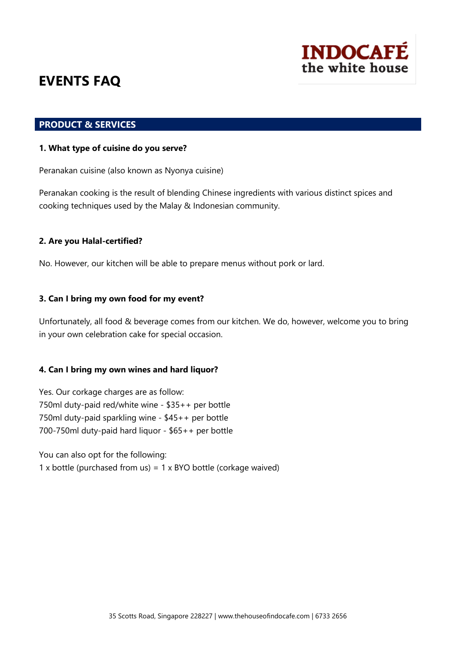

### **PRODUCT & SERVICES**

#### **1. What type of cuisine do you serve?**

Peranakan cuisine (also known as Nyonya cuisine)

Peranakan cooking is the result of blending Chinese ingredients with various distinct spices and cooking techniques used by the Malay & Indonesian community.

### **2. Are you Halal-certified?**

No. However, our kitchen will be able to prepare menus without pork or lard.

#### **3. Can I bring my own food for my event?**

Unfortunately, all food & beverage comes from our kitchen. We do, however, welcome you to bring in your own celebration cake for special occasion.

#### **4. Can I bring my own wines and hard liquor?**

Yes. Our corkage charges are as follow: 750ml duty-paid red/white wine - \$35++ per bottle 750ml duty-paid sparkling wine - \$45++ per bottle 700-750ml duty-paid hard liquor - \$65++ per bottle

You can also opt for the following: 1 x bottle (purchased from us) =  $1 \times$  BYO bottle (corkage waived)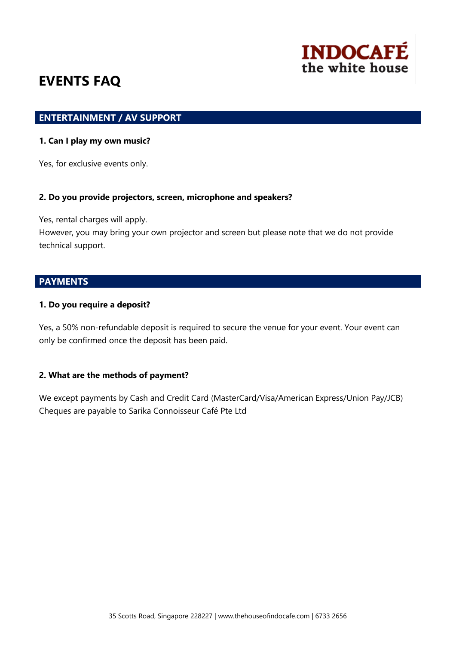

### **ENTERTAINMENT / AV SUPPORT**

#### **1. Can I play my own music?**

Yes, for exclusive events only.

#### **2. Do you provide projectors, screen, microphone and speakers?**

Yes, rental charges will apply.

However, you may bring your own projector and screen but please note that we do not provide technical support.

## **PAYMENTS**

#### **1. Do you require a deposit?**

Yes, a 50% non-refundable deposit is required to secure the venue for your event. Your event can only be confirmed once the deposit has been paid.

#### **2. What are the methods of payment?**

We except payments by Cash and Credit Card (MasterCard/Visa/American Express/Union Pay/JCB) Cheques are payable to Sarika Connoisseur Café Pte Ltd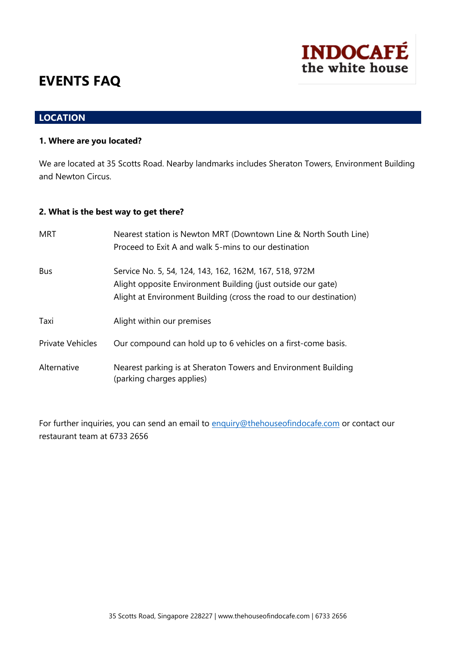# **LOCATION**

#### **1. Where are you located?**

We are located at 35 Scotts Road. Nearby landmarks includes Sheraton Towers, Environment Building and Newton Circus.

**INDOCAFÉ** 

the white house

#### **2. What is the best way to get there?**

| <b>MRT</b>              | Nearest station is Newton MRT (Downtown Line & North South Line)<br>Proceed to Exit A and walk 5-mins to our destination                                                                     |
|-------------------------|----------------------------------------------------------------------------------------------------------------------------------------------------------------------------------------------|
| Bus                     | Service No. 5, 54, 124, 143, 162, 162M, 167, 518, 972M<br>Alight opposite Environment Building (just outside our gate)<br>Alight at Environment Building (cross the road to our destination) |
| Taxi                    | Alight within our premises                                                                                                                                                                   |
| <b>Private Vehicles</b> | Our compound can hold up to 6 vehicles on a first-come basis.                                                                                                                                |
| Alternative             | Nearest parking is at Sheraton Towers and Environment Building<br>(parking charges applies)                                                                                                  |

For further inquiries, you can send an email to [enquiry@thehouseofindocafe.com](mailto:enquiry@thehouseofindocafe.com) or contact our restaurant team at 6733 2656